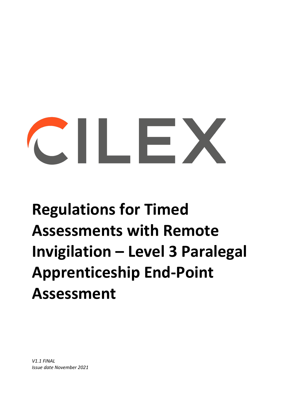# $\sim$  11  $\sim$  2

## **Regulations for Timed Assessments with Remote Invigilation – Level 3 Paralegal Apprenticeship End-Point Assessment**

*V1.1 FINAL Issue date November 2021*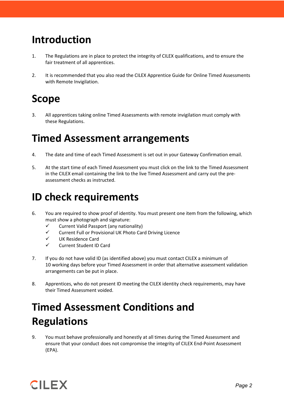#### **Introduction**

- 1. The Regulations are in place to protect the integrity of CILEX qualifications, and to ensure the fair treatment of all apprentices.
- 2. It is recommended that you also read the CILEX Apprentice Guide for Online Timed Assessments with Remote Invigilation.

#### **Scope**

3. All apprentices taking online Timed Assessments with remote invigilation must comply with these Regulations.

#### **Timed Assessment arrangements**

- 4. The date and time of each Timed Assessment is set out in your Gateway Confirmation email.
- 5. At the start time of each Timed Assessment you must click on the link to the Timed Assessment in the CILEX email containing the link to the live Timed Assessment and carry out the preassessment checks as instructed.

#### **ID check requirements**

- 6. You are required to show proof of identity. You must present one item from the following, which must show a photograph and signature:
	- $\checkmark$  Current Valid Passport (any nationality)
	- $\checkmark$  Current Full or Provisional UK Photo Card Driving Licence
	- UK Residence Card
	- $\checkmark$  Current Student ID Card
- 7. If you do not have valid ID (as identified above) you must contact CILEX a minimum of 10 working days before your Timed Assessment in order that alternative assessment validation arrangements can be put in place.
- 8. Apprentices, who do not present ID meeting the CILEX identity check requirements, may have their Timed Assessment voided.

### **Timed Assessment Conditions and Regulations**

9. You must behave professionally and honestly at all times during the Timed Assessment and ensure that your conduct does not compromise the integrity of CILEX End-Point Assessment (EPA).

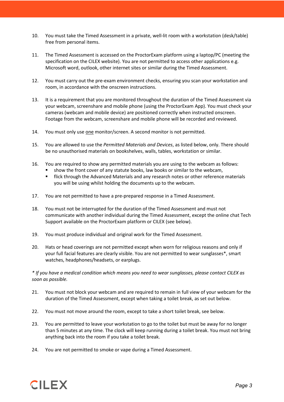- 10. You must take the Timed Assessment in a private, well-lit room with a workstation (desk/table) free from personal items.
- 11. The Timed Assessment is accessed on the ProctorExam platform using a laptop/PC (meeting the specification on the CILEX website). You are not permitted to access other applications e.g. Microsoft word, outlook, other internet sites or similar during the Timed Assessment.
- 12. You must carry out the pre-exam environment checks, ensuring you scan your workstation and room, in accordance with the onscreen instructions.
- 13. It is a requirement that you are monitored throughout the duration of the Timed Assessment via your webcam, screenshare and mobile phone (using the ProctorExam App). You must check your cameras (webcam and mobile device) are positioned correctly when instructed onscreen. Footage from the webcam, screenshare and mobile phone will be recorded and reviewed.
- 14. You must only use one monitor/screen. A second monitor is not permitted.
- 15. You are allowed to use the *Permitted Materials and Devices*, as listed below, only. There should be no unauthorised materials on bookshelves, walls, tables, workstation or similar.
- 16. You are required to show any permitted materials you are using to the webcam as follows:
	- show the front cover of any statute books, law books or similar to the webcam,
	- **Filick through the Advanced Materials and any research notes or other reference materials** you will be using whilst holding the documents up to the webcam.
- 17. You are not permitted to have a pre-prepared response in a Timed Assessment.
- 18. You must not be interrupted for the duration of the Timed Assessment and must not communicate with another individual during the Timed Assessment, except the online chat Tech Support available on the ProctorExam platform or CILEX (see below).
- 19. You must produce individual and original work for the Timed Assessment.
- 20. Hats or head coverings are not permitted except when worn for religious reasons and only if your full facial features are clearly visible. You are not permitted to wear sunglasses\*, smart watches, headphones/headsets, or earplugs.

*\* If you have a medical condition which means you need to wear sunglasses, please contact CILEX as soon as possible.*

- 21. You must not block your webcam and are required to remain in full view of your webcam for the duration of the Timed Assessment, except when taking a toilet break, as set out below.
- 22. You must not move around the room, except to take a short toilet break, see below.
- 23. You are permitted to leave your workstation to go to the toilet but must be away for no longer than 5 minutes at any time. The clock will keep running during a toilet break. You must not bring anything back into the room if you take a toilet break.
- 24. You are not permitted to smoke or vape during a Timed Assessment.

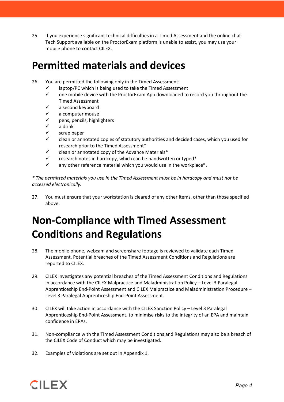25. If you experience significant technical difficulties in a Timed Assessment and the online chat Tech Support available on the ProctorExam platform is unable to assist, you may use your mobile phone to contact CILEX.

#### **Permitted materials and devices**

- 26. You are permitted the following only in the Timed Assessment:
	- $\checkmark$  laptop/PC which is being used to take the Timed Assessment<br> $\checkmark$  one mobile device with the ProctorExam Ann downloaded to
	- one mobile device with the ProctorExam App downloaded to record you throughout the Timed Assessment
	- a second keyboard
	- a computer mouse
	- pens, pencils, highlighters
	- a drink
	- scrap paper
	- clean or annotated copies of statutory authorities and decided cases, which you used for research prior to the Timed Assessment\*
	- $\checkmark$  clean or annotated copy of the Advance Materials\*
	- $\checkmark$  research notes in hardcopy, which can be handwritten or typed\*
	- $\checkmark$  any other reference material which you would use in the workplace\*.

*\* The permitted materials you use in the Timed Assessment must be in hardcopy and must not be accessed electronically.*

27. You must ensure that your workstation is cleared of any other items, other than those specified above.

### **Non-Compliance with Timed Assessment Conditions and Regulations**

- 28. The mobile phone, webcam and screenshare footage is reviewed to validate each Timed Assessment. Potential breaches of the Timed Assessment Conditions and Regulations are reported to CILEX.
- 29. CILEX investigates any potential breaches of the Timed Assessment Conditions and Regulations in accordance with the CILEX Malpractice and Maladministration Policy – Level 3 Paralegal Apprenticeship End-Point Assessment and CILEX Malpractice and Maladministration Procedure – Level 3 Paralegal Apprenticeship End-Point Assessment.
- 30. CILEX will take action in accordance with the CILEX Sanction Policy Level 3 Paralegal Apprenticeship End-Point Assessment, to minimise risks to the integrity of an EPA and maintain confidence in EPAs.
- 31. Non-compliance with the Timed Assessment Conditions and Regulations may also be a breach of the CILEX Code of Conduct which may be investigated.
- 32. Examples of violations are set out in Appendix 1.